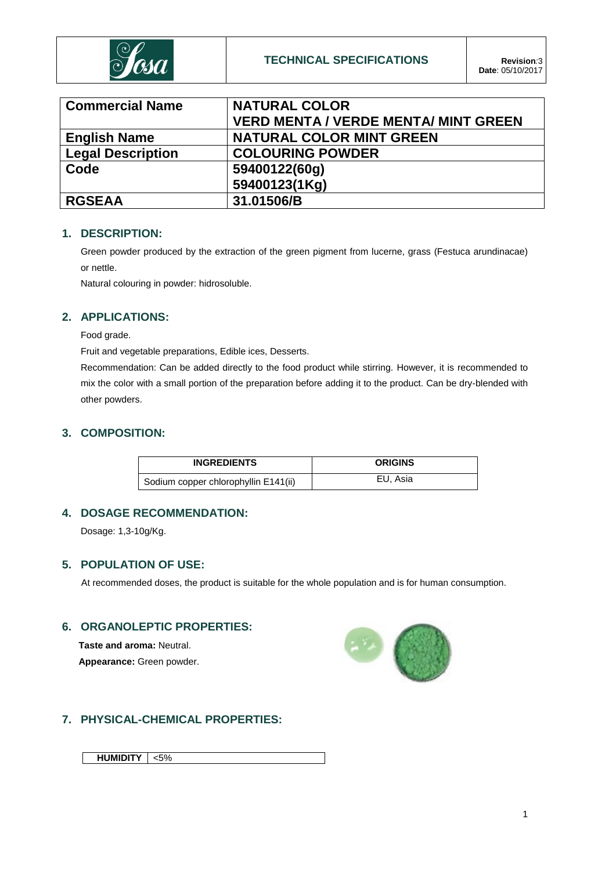

| <b>Commercial Name</b>   | <b>NATURAL COLOR</b>                        |
|--------------------------|---------------------------------------------|
|                          | <b>VERD MENTA / VERDE MENTA/ MINT GREEN</b> |
| <b>English Name</b>      | <b>NATURAL COLOR MINT GREEN</b>             |
| <b>Legal Description</b> | <b>COLOURING POWDER</b>                     |
| Code                     | 59400122(60g)                               |
|                          | 59400123(1Kg)                               |
| <b>RGSEAA</b>            | 31.01506/B                                  |

### **1. DESCRIPTION:**

Green powder produced by the extraction of the green pigment from lucerne, grass (Festuca arundinacae) or nettle.

Natural colouring in powder: hidrosoluble.

## **2. APPLICATIONS:**

Food grade.

Fruit and vegetable preparations, Edible ices, Desserts.

Recommendation: Can be added directly to the food product while stirring. However, it is recommended to mix the color with a small portion of the preparation before adding it to the product. Can be dry-blended with other powders.

## **3. COMPOSITION:**

| <b>INGREDIENTS</b>                   | <b>ORIGINS</b> |
|--------------------------------------|----------------|
| Sodium copper chlorophyllin E141(ii) | EU, Asia       |

## **4. DOSAGE RECOMMENDATION:**

Dosage: 1,3-10g/Kg.

## **5. POPULATION OF USE:**

At recommended doses, the product is suitable for the whole population and is for human consumption.

## **6. ORGANOLEPTIC PROPERTIES:**

**Taste and aroma:** Neutral. **Appearance:** Green powder.



# **7. PHYSICAL-CHEMICAL PROPERTIES:**

**HUMIDITY** <5%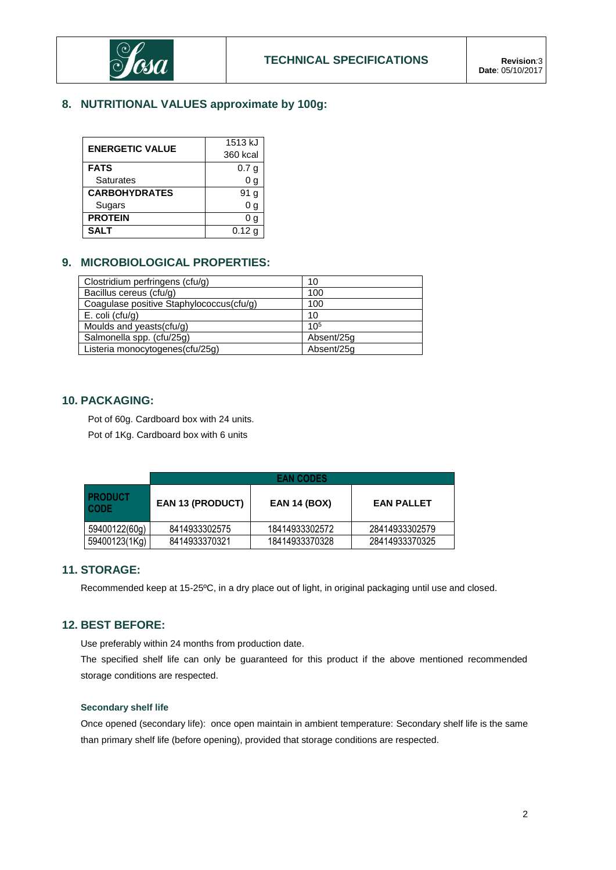

# **8. NUTRITIONAL VALUES approximate by 100g:**

| <b>ENERGETIC VALUE</b> | 1513 kJ           |  |  |  |
|------------------------|-------------------|--|--|--|
|                        | 360 kcal          |  |  |  |
| <b>FATS</b>            | 0.7 <sub>q</sub>  |  |  |  |
| Saturates              | 0 <sub>g</sub>    |  |  |  |
| <b>CARBOHYDRATES</b>   | 91 a              |  |  |  |
| Sugars                 | 0 g               |  |  |  |
| <b>PROTEIN</b>         | g                 |  |  |  |
| <b>SAIT</b>            | 0.12 <sub>q</sub> |  |  |  |

## **9. MICROBIOLOGICAL PROPERTIES:**

| Clostridium perfringens (cfu/g)          | 10              |
|------------------------------------------|-----------------|
| Bacillus cereus (cfu/g)                  | 100             |
| Coagulase positive Staphylococcus(cfu/g) | 100             |
| $E.$ coli (cfu/g)                        | 10              |
| Moulds and yeasts(cfu/g)                 | 10 <sup>5</sup> |
| Salmonella spp. (cfu/25g)                | Absent/25g      |
| Listeria monocytogenes(cfu/25g)          | Absent/25g      |

## **10. PACKAGING:**

Pot of 60g. Cardboard box with 24 units.

Pot of 1Kg. Cardboard box with 6 units

|                               | <b>EAN CODES</b>        |                     |                   |  |  |
|-------------------------------|-------------------------|---------------------|-------------------|--|--|
| <b>PRODUCT</b><br><b>CODE</b> | <b>EAN 13 (PRODUCT)</b> | <b>EAN 14 (BOX)</b> | <b>EAN PALLET</b> |  |  |
| 59400122(60g)                 | 8414933302575           | 18414933302572      | 28414933302579    |  |  |
| 59400123(1Kg)                 | 8414933370321           | 18414933370328      | 28414933370325    |  |  |

## **11. STORAGE:**

Recommended keep at 15-25ºC, in a dry place out of light, in original packaging until use and closed.

## **12. BEST BEFORE:**

Use preferably within 24 months from production date.

The specified shelf life can only be guaranteed for this product if the above mentioned recommended storage conditions are respected.

### **Secondary shelf life**

Once opened (secondary life): once open maintain in ambient temperature: Secondary shelf life is the same than primary shelf life (before opening), provided that storage conditions are respected.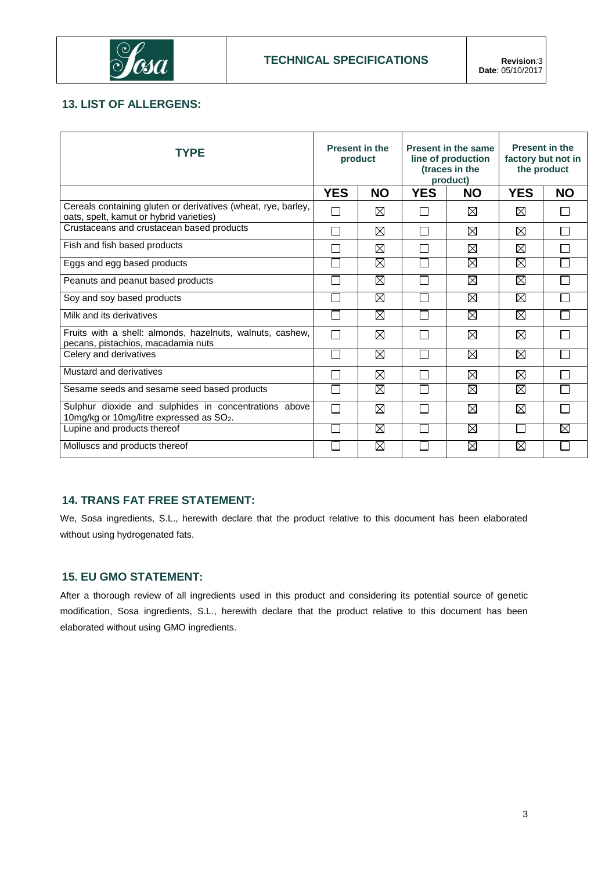

## **13. LIST OF ALLERGENS:**

| <b>TYPE</b>                                                                                                   | <b>Present in the</b><br>product |             | <b>Present in the same</b><br>line of production<br>(traces in the<br>product) |             | <b>Present in the</b><br>factory but not in<br>the product |           |
|---------------------------------------------------------------------------------------------------------------|----------------------------------|-------------|--------------------------------------------------------------------------------|-------------|------------------------------------------------------------|-----------|
|                                                                                                               | <b>YES</b>                       | <b>NO</b>   | <b>YES</b>                                                                     | <b>NO</b>   | <b>YES</b>                                                 | <b>NO</b> |
| Cereals containing gluten or derivatives (wheat, rye, barley,<br>oats, spelt, kamut or hybrid varieties)      | П                                | ⊠           | $\overline{\phantom{a}}$                                                       | ⊠           | ⊠                                                          | ΙI        |
| Crustaceans and crustacean based products                                                                     |                                  | ⊠           | П                                                                              | ⊠           | ⊠                                                          |           |
| Fish and fish based products                                                                                  |                                  | ⊠           | Г                                                                              | $\boxtimes$ | $\boxtimes$                                                | П         |
| Eggs and egg based products                                                                                   |                                  | ⊠           |                                                                                | ⊠           | $\boxtimes$                                                |           |
| Peanuts and peanut based products                                                                             |                                  | ⊠           | L                                                                              | $\boxtimes$ | $\overline{\boxtimes}$                                     |           |
| Soy and soy based products                                                                                    |                                  | ⊠           |                                                                                | $\boxtimes$ | Ø                                                          |           |
| Milk and its derivatives                                                                                      |                                  | ⊠           |                                                                                | $\boxtimes$ | ⊠                                                          |           |
| Fruits with a shell: almonds, hazelnuts, walnuts, cashew,<br>pecans, pistachios, macadamia nuts               |                                  | ⊠           | Г                                                                              | ⊠           | ⊠                                                          |           |
| Celery and derivatives                                                                                        |                                  | ⊠           |                                                                                | $\boxtimes$ | X                                                          |           |
| Mustard and derivatives                                                                                       |                                  | $\boxtimes$ |                                                                                | $\boxtimes$ | ⊠                                                          |           |
| Sesame seeds and sesame seed based products                                                                   |                                  | $\boxtimes$ |                                                                                | ⊠           | Ø                                                          |           |
| Sulphur dioxide and sulphides in concentrations above<br>10mg/kg or 10mg/litre expressed as SO <sub>2</sub> . | П                                | ⊠           |                                                                                | $\boxtimes$ | $\boxtimes$                                                |           |
| Lupine and products thereof                                                                                   |                                  | ⊠           |                                                                                | $\boxtimes$ | $\mathbf{I}$                                               | ⊠         |
| Molluscs and products thereof                                                                                 |                                  | ⊠           |                                                                                | $\boxtimes$ | $\boxtimes$                                                |           |

## **14. TRANS FAT FREE STATEMENT:**

We, Sosa ingredients, S.L., herewith declare that the product relative to this document has been elaborated without using hydrogenated fats.

## **15. EU GMO STATEMENT:**

After a thorough review of all ingredients used in this product and considering its potential source of genetic modification, Sosa ingredients, S.L., herewith declare that the product relative to this document has been elaborated without using GMO ingredients.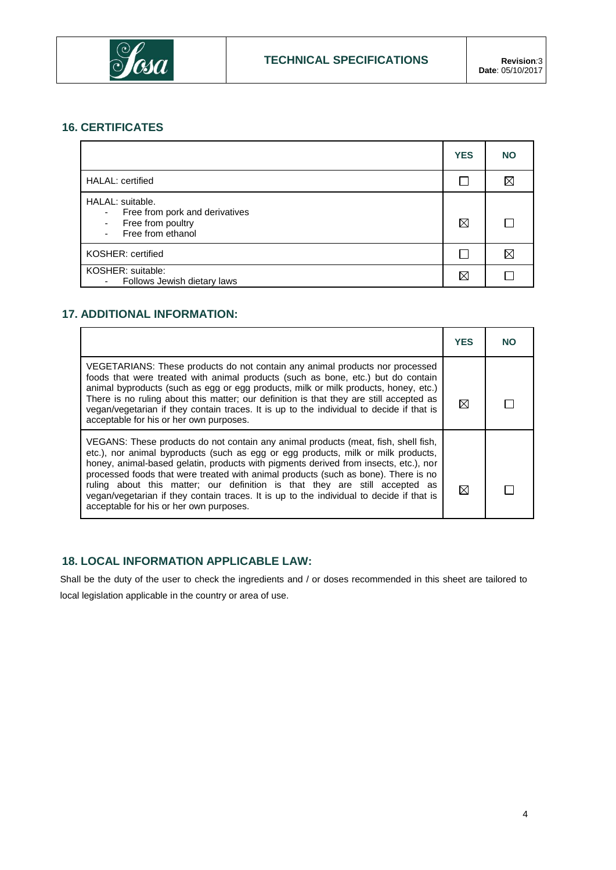

# **16. CERTIFICATES**

|                                                                                                        | <b>YES</b> | <b>NO</b> |
|--------------------------------------------------------------------------------------------------------|------------|-----------|
| <b>HALAL:</b> certified                                                                                |            | ⋉         |
| HALAL: suitable.<br>Free from pork and derivatives<br>۰<br>Free from poultry<br>٠<br>Free from ethanol | ⊠          |           |
| KOSHER: certified                                                                                      |            |           |
| KOSHER: suitable:<br>Follows Jewish dietary laws<br>٠                                                  | ⊠          |           |

# **17. ADDITIONAL INFORMATION:**

|                                                                                                                                                                                                                                                                                                                                                                                                                                                                                                                                                                             | <b>YES</b> | NO |
|-----------------------------------------------------------------------------------------------------------------------------------------------------------------------------------------------------------------------------------------------------------------------------------------------------------------------------------------------------------------------------------------------------------------------------------------------------------------------------------------------------------------------------------------------------------------------------|------------|----|
| VEGETARIANS: These products do not contain any animal products nor processed<br>foods that were treated with animal products (such as bone, etc.) but do contain<br>animal byproducts (such as egg or egg products, milk or milk products, honey, etc.)<br>There is no ruling about this matter; our definition is that they are still accepted as<br>vegan/vegetarian if they contain traces. It is up to the individual to decide if that is<br>acceptable for his or her own purposes.                                                                                   | ⊠          |    |
| VEGANS: These products do not contain any animal products (meat, fish, shell fish,<br>etc.), nor animal byproducts (such as egg or egg products, milk or milk products,<br>honey, animal-based gelatin, products with pigments derived from insects, etc.), nor<br>processed foods that were treated with animal products (such as bone). There is no<br>ruling about this matter; our definition is that they are still accepted as<br>vegan/vegetarian if they contain traces. It is up to the individual to decide if that is<br>acceptable for his or her own purposes. | ⊠          |    |

# **18. LOCAL INFORMATION APPLICABLE LAW:**

Shall be the duty of the user to check the ingredients and / or doses recommended in this sheet are tailored to local legislation applicable in the country or area of use.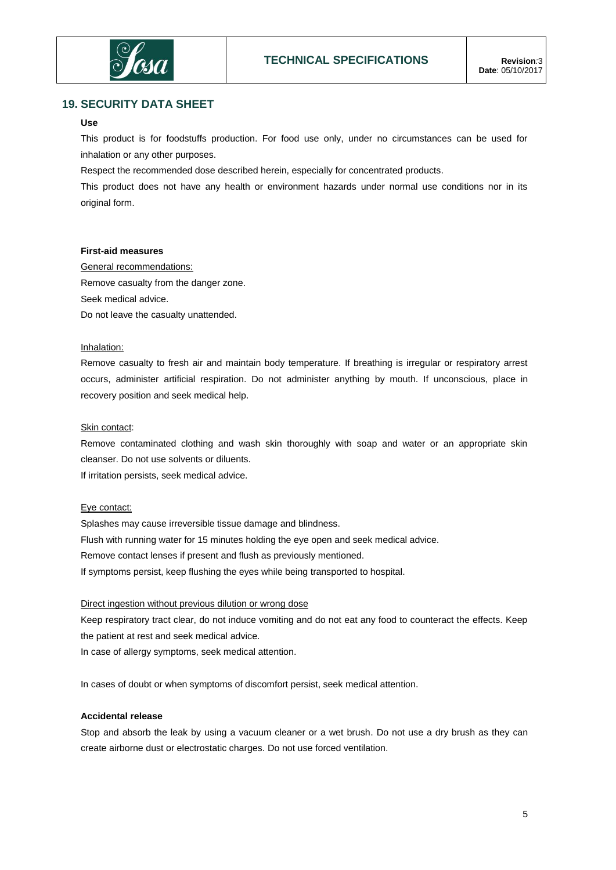

## **19. SECURITY DATA SHEET**

### **Use**

This product is for foodstuffs production. For food use only, under no circumstances can be used for inhalation or any other purposes.

Respect the recommended dose described herein, especially for concentrated products.

This product does not have any health or environment hazards under normal use conditions nor in its original form.

#### **First-aid measures**

General recommendations: Remove casualty from the danger zone. Seek medical advice. Do not leave the casualty unattended.

### Inhalation:

Remove casualty to fresh air and maintain body temperature. If breathing is irregular or respiratory arrest occurs, administer artificial respiration. Do not administer anything by mouth. If unconscious, place in recovery position and seek medical help.

#### Skin contact:

Remove contaminated clothing and wash skin thoroughly with soap and water or an appropriate skin cleanser. Do not use solvents or diluents.

If irritation persists, seek medical advice.

### Eye contact:

Splashes may cause irreversible tissue damage and blindness. Flush with running water for 15 minutes holding the eye open and seek medical advice. Remove contact lenses if present and flush as previously mentioned. If symptoms persist, keep flushing the eyes while being transported to hospital.

#### Direct ingestion without previous dilution or wrong dose

Keep respiratory tract clear, do not induce vomiting and do not eat any food to counteract the effects. Keep the patient at rest and seek medical advice.

In case of allergy symptoms, seek medical attention.

In cases of doubt or when symptoms of discomfort persist, seek medical attention.

### **Accidental release**

Stop and absorb the leak by using a vacuum cleaner or a wet brush. Do not use a dry brush as they can create airborne dust or electrostatic charges. Do not use forced ventilation.